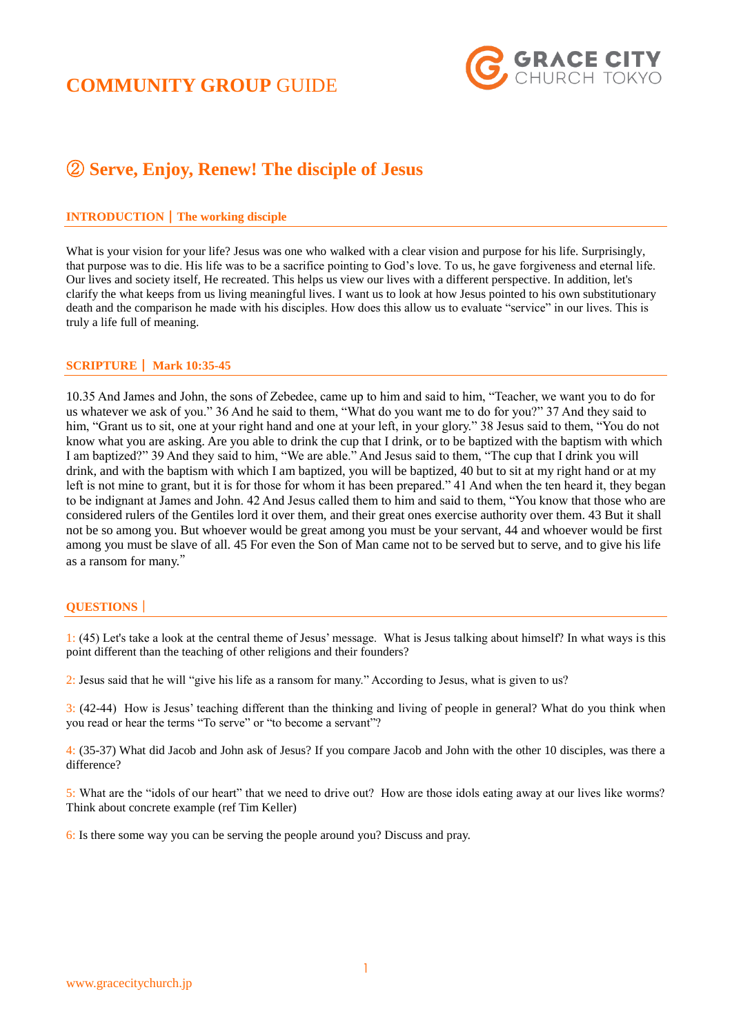## **COMMUNITY GROUP** GUIDE



### ② **Serve, Enjoy, Renew! The disciple of Jesus**

### **INTRODUCTION**|**The working disciple**

What is your vision for your life? Jesus was one who walked with a clear vision and purpose for his life. Surprisingly, that purpose was to die. His life was to be a sacrifice pointing to God's love. To us, he gave forgiveness and eternal life. Our lives and society itself, He recreated. This helps us view our lives with a different perspective. In addition, let's clarify the what keeps from us living meaningful lives. I want us to look at how Jesus pointed to his own substitutionary death and the comparison he made with his disciples. How does this allow us to evaluate "service" in our lives. This is truly a life full of meaning.

### **SCRIPTURE**| **Mark 10:35-45**

10.35 And James and John, the sons of Zebedee, came up to him and said to him, "Teacher, we want you to do for us whatever we ask of you." 36 And he said to them, "What do you want me to do for you?" 37 And they said to him, "Grant us to sit, one at your right hand and one at your left, in your glory." 38 Jesus said to them, "You do not know what you are asking. Are you able to drink the cup that I drink, or to be baptized with the baptism with which I am baptized?" 39 And they said to him, "We are able." And Jesus said to them, "The cup that I drink you will drink, and with the baptism with which I am baptized, you will be baptized, 40 but to sit at my right hand or at my left is not mine to grant, but it is for those for whom it has been prepared." 41 And when the ten heard it, they began to be indignant at James and John. 42 And Jesus called them to him and said to them, "You know that those who are considered rulers of the Gentiles lord it over them, and their great ones exercise authority over them. 43 But it shall not be so among you. But whoever would be great among you must be your servant, 44 and whoever would be first among you must be slave of all. 45 For even the Son of Man came not to be served but to serve, and to give his life as a ransom for many."

### **QUESTIONS**|

1: (45) Let's take a look at the central theme of Jesus' message. What is Jesus talking about himself? In what ways is this point different than the teaching of other religions and their founders?

2: Jesus said that he will "give his life as a ransom for many." According to Jesus, what is given to us?

3: (42-44) How is Jesus' teaching different than the thinking and living of people in general? What do you think when you read or hear the terms "To serve" or "to become a servant"?

4: (35-37) What did Jacob and John ask of Jesus? If you compare Jacob and John with the other 10 disciples, was there a difference?

5: What are the "idols of our heart" that we need to drive out? How are those idols eating away at our lives like worms? Think about concrete example (ref Tim Keller)

6: Is there some way you can be serving the people around you? Discuss and pray.